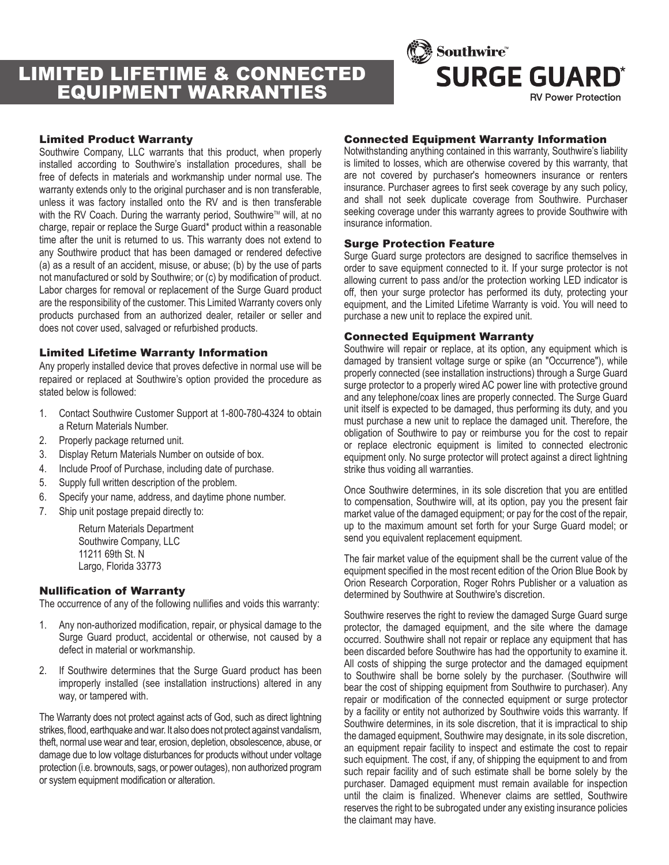# LIMITED LIFETIME & CONNECTED EQUIPMENT WARRANTIES



#### Limited Product Warranty

Southwire Company, LLC warrants that this product, when properly installed according to Southwire's installation procedures, shall be free of defects in materials and workmanship under normal use. The warranty extends only to the original purchaser and is non transferable, unless it was factory installed onto the RV and is then transferable with the RV Coach. During the warranty period, Southwire™ will, at no charge, repair or replace the Surge Guard\* product within a reasonable time after the unit is returned to us. This warranty does not extend to any Southwire product that has been damaged or rendered defective (a) as a result of an accident, misuse, or abuse; (b) by the use of parts not manufactured or sold by Southwire; or (c) by modification of product. Labor charges for removal or replacement of the Surge Guard product are the responsibility of the customer. This Limited Warranty covers only products purchased from an authorized dealer, retailer or seller and does not cover used, salvaged or refurbished products.

#### Limited Lifetime Warranty Information

Any properly installed device that proves defective in normal use will be repaired or replaced at Southwire's option provided the procedure as stated below is followed:

- 1. Contact Southwire Customer Support at 1-800-780-4324 to obtain a Return Materials Number.
- 2. Properly package returned unit.
- 3. Display Return Materials Number on outside of box.
- 4. Include Proof of Purchase, including date of purchase.
- 5. Supply full written description of the problem.
- 6. Specify your name, address, and daytime phone number.
- 7. Ship unit postage prepaid directly to:

Return Materials Department Southwire Company, LLC 11211 69th St. N Largo, Florida 33773

### Nullification of Warranty

The occurrence of any of the following nullifies and voids this warranty:

- 1. Any non-authorized modification, repair, or physical damage to the Surge Guard product, accidental or otherwise, not caused by a defect in material or workmanship.
- 2. If Southwire determines that the Surge Guard product has been improperly installed (see installation instructions) altered in any way, or tampered with.

The Warranty does not protect against acts of God, such as direct lightning strikes, flood, earthquake and war. It also does not protect against vandalism, theft, normal use wear and tear, erosion, depletion, obsolescence, abuse, or damage due to low voltage disturbances for products without under voltage protection (i.e. brownouts, sags, or power outages), non authorized program or system equipment modification or alteration.

#### Connected Equipment Warranty Information

Notwithstanding anything contained in this warranty, Southwire's liability is limited to losses, which are otherwise covered by this warranty, that are not covered by purchaser's homeowners insurance or renters insurance. Purchaser agrees to first seek coverage by any such policy, and shall not seek duplicate coverage from Southwire. Purchaser seeking coverage under this warranty agrees to provide Southwire with insurance information.

#### Surge Protection Feature

Surge Guard surge protectors are designed to sacrifice themselves in order to save equipment connected to it. If your surge protector is not allowing current to pass and/or the protection working LED indicator is off, then your surge protector has performed its duty, protecting your equipment, and the Limited Lifetime Warranty is void. You will need to purchase a new unit to replace the expired unit.

#### Connected Equipment Warranty

Southwire will repair or replace, at its option, any equipment which is damaged by transient voltage surge or spike (an "Occurrence"), while properly connected (see installation instructions) through a Surge Guard surge protector to a properly wired AC power line with protective ground and any telephone/coax lines are properly connected. The Surge Guard unit itself is expected to be damaged, thus performing its duty, and you must purchase a new unit to replace the damaged unit. Therefore, the obligation of Southwire to pay or reimburse you for the cost to repair or replace electronic equipment is limited to connected electronic equipment only. No surge protector will protect against a direct lightning strike thus voiding all warranties.

Once Southwire determines, in its sole discretion that you are entitled to compensation, Southwire will, at its option, pay you the present fair market value of the damaged equipment; or pay for the cost of the repair, up to the maximum amount set forth for your Surge Guard model; or send you equivalent replacement equipment.

The fair market value of the equipment shall be the current value of the equipment specified in the most recent edition of the Orion Blue Book by Orion Research Corporation, Roger Rohrs Publisher or a valuation as determined by Southwire at Southwire's discretion.

Southwire reserves the right to review the damaged Surge Guard surge protector, the damaged equipment, and the site where the damage occurred. Southwire shall not repair or replace any equipment that has been discarded before Southwire has had the opportunity to examine it. All costs of shipping the surge protector and the damaged equipment to Southwire shall be borne solely by the purchaser. (Southwire will bear the cost of shipping equipment from Southwire to purchaser). Any repair or modification of the connected equipment or surge protector by a facility or entity not authorized by Southwire voids this warranty. If Southwire determines, in its sole discretion, that it is impractical to ship the damaged equipment, Southwire may designate, in its sole discretion, an equipment repair facility to inspect and estimate the cost to repair such equipment. The cost, if any, of shipping the equipment to and from such repair facility and of such estimate shall be borne solely by the purchaser. Damaged equipment must remain available for inspection until the claim is finalized. Whenever claims are settled, Southwire reserves the right to be subrogated under any existing insurance policies the claimant may have.